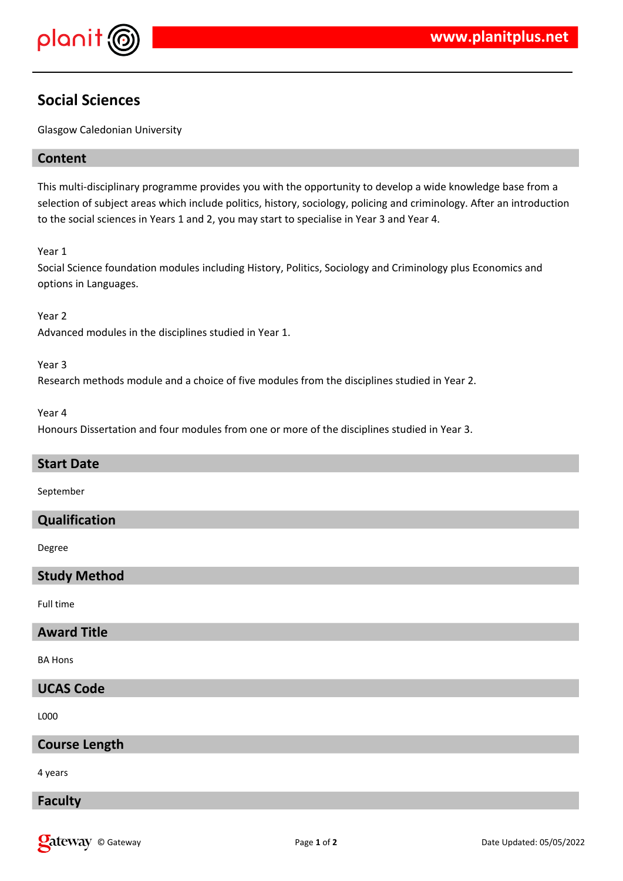

## **Social Sciences**

Glasgow Caledonian University

## **Content**

This multi-disciplinary programme provides you with the opportunity to develop a wide knowledge base from a selection of subject areas which include politics, history, sociology, policing and criminology. After an introduction to the social sciences in Years 1 and 2, you may start to specialise in Year 3 and Year 4.

Year 1

Social Science foundation modules including History, Politics, Sociology and Criminology plus Economics and options in Languages.

Year 2

Advanced modules in the disciplines studied in Year 1.

Year 3

Research methods module and a choice of five modules from the disciplines studied in Year 2.

Year 4

Honours Dissertation and four modules from one or more of the disciplines studied in Year 3.

#### **Start Date**

September

#### **Qualification**

Degree

### **Study Method**

Full time

#### **Award Title**

BA Hons

## **UCAS Code**

L000

### **Course Length**

4 years

#### **Faculty**